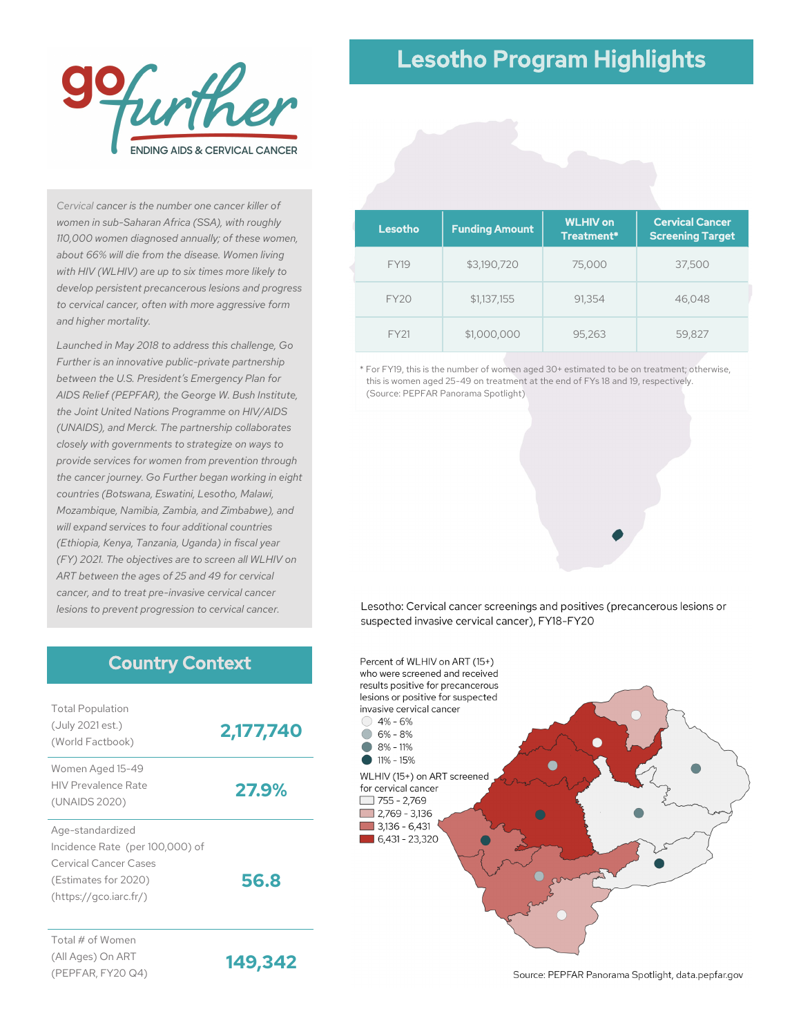

#### *Cervical cancer is the number one cancer killer of women in sub-Saharan Africa (SSA), with roughly 110,000 women diagnosed annually; of these women, about 66% will die from the disease. Women living with HIV (WLHIV) are up to six times more likely to develop persistent precancerous lesions and progress to cervical cancer, often with more aggressive form and higher mortality.*

*Launched in May 2018 to address this challenge, Go Further is an innovative public-private partnership between the U.S. President's Emergency Plan for AIDS Relief (PEPFAR), the George W. Bush Institute, the Joint United Nations Programme on HIV/AIDS (UNAIDS), and Merck. The partnership collaborates closely with governments to strategize on ways to provide services for women from prevention through the cancer journey. Go Further began working in eight countries (Botswana, Eswatini, Lesotho, Malawi, Mozambique, Namibia, Zambia, and Zimbabwe), and will expand services to four additional countries (Ethiopia, Kenya, Tanzania, Uganda) in fiscal year (FY) 2021. The objectives are to screen all WLHIV on ART between the ages of 25 and 49 for cervical cancer, and to treat pre-invasive cervical cancer lesions to prevent progression to cervical cancer.*

### Country Context

| <b>Total Population</b><br>(July 2021 est.)<br>(World Factbook)                                                                       | 2,177,740 |
|---------------------------------------------------------------------------------------------------------------------------------------|-----------|
| Women Aged 15-49<br><b>HIV Prevalence Rate</b><br>(UNAIDS 2020)                                                                       | 27.9%     |
| Age-standardized<br>Incidence Rate (per 100,000) of<br><b>Cervical Cancer Cases</b><br>(Estimates for 2020)<br>(htips://qco.iarc.fr/) | 56.8      |
| Total # of Women<br>(All Ages) On ART<br>(PEPFAR, FY20 Q4)                                                                            | 149,342   |

# Lesotho Program Highlights

| Lesotho     | <b>Funding Amount</b> | <b>WLHIV on</b><br>Treatment* | <b>Cervical Cancer</b><br><b>Screening Target</b> |
|-------------|-----------------------|-------------------------------|---------------------------------------------------|
| <b>FY19</b> | \$3,190,720           | 75,000                        | 37,500                                            |
| <b>FY20</b> | \$1,137,155           | 91,354                        | 46,048                                            |
| FY21        | \$1,000,000           | 95,263                        | 59,827                                            |

\* For FY19, this is the number of women aged 30+ estimated to be on treatment; otherwise, this is women aged 25-49 on treatment at the end of FYs 18 and 19, respectively. (Source: PEPFAR Panorama Spotlight)





Source: PEPFAR Panorama Spotlight, data.pepfar.gov